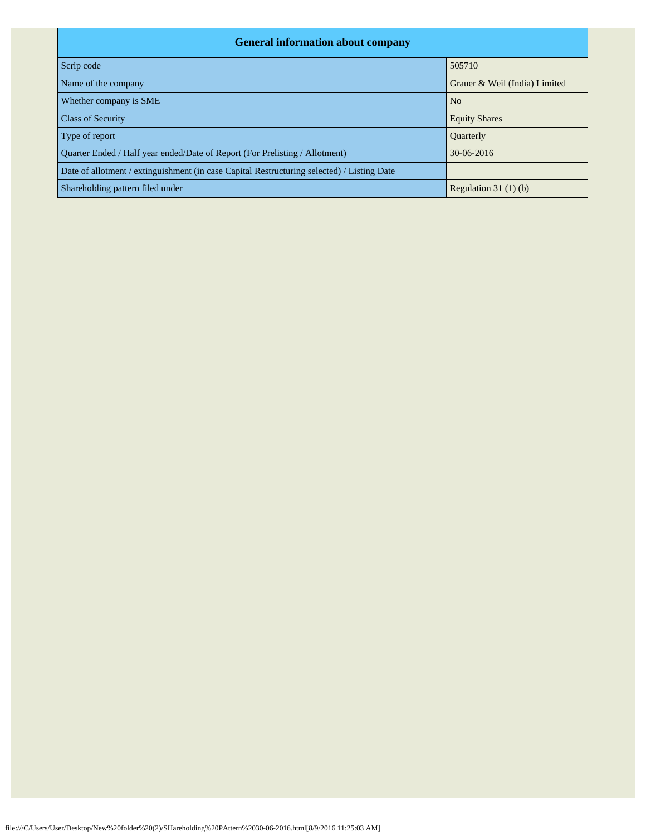| <b>General information about company</b>                                                   |                               |  |  |  |  |  |  |  |
|--------------------------------------------------------------------------------------------|-------------------------------|--|--|--|--|--|--|--|
| Scrip code                                                                                 | 505710                        |  |  |  |  |  |  |  |
| Name of the company                                                                        | Grauer & Weil (India) Limited |  |  |  |  |  |  |  |
| Whether company is SME                                                                     | N <sub>o</sub>                |  |  |  |  |  |  |  |
| <b>Class of Security</b>                                                                   | <b>Equity Shares</b>          |  |  |  |  |  |  |  |
| Type of report                                                                             | <b>Ouarterly</b>              |  |  |  |  |  |  |  |
| Ouarter Ended / Half year ended/Date of Report (For Prelisting / Allotment)                | 30-06-2016                    |  |  |  |  |  |  |  |
| Date of allotment / extinguishment (in case Capital Restructuring selected) / Listing Date |                               |  |  |  |  |  |  |  |
| Shareholding pattern filed under                                                           | Regulation $31(1)(b)$         |  |  |  |  |  |  |  |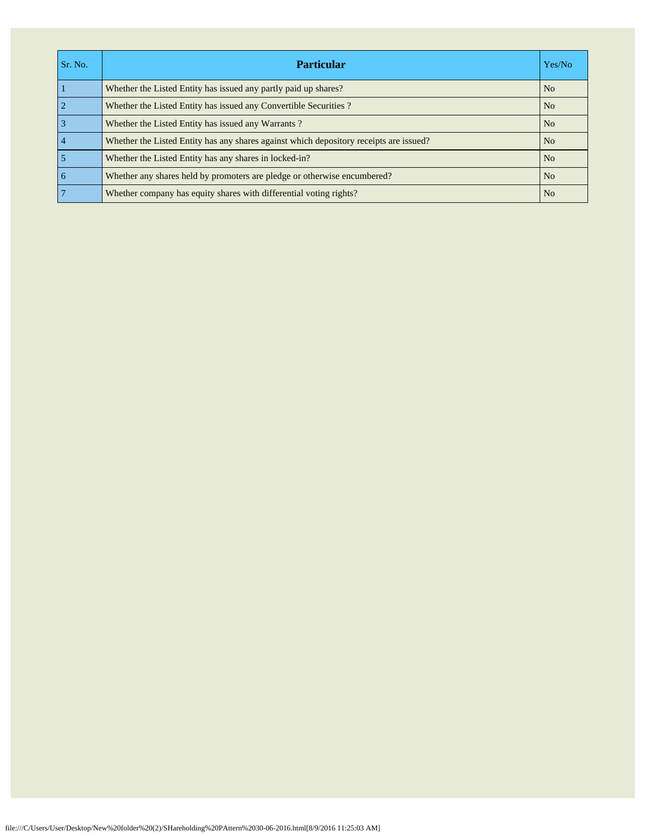| Sr. No.         | <b>Particular</b>                                                                      | Yes/No         |
|-----------------|----------------------------------------------------------------------------------------|----------------|
|                 | Whether the Listed Entity has issued any partly paid up shares?                        | N <sub>o</sub> |
| $\overline{2}$  | Whether the Listed Entity has issued any Convertible Securities?                       | N <sub>o</sub> |
| $\overline{3}$  | Whether the Listed Entity has issued any Warrants?                                     | N <sub>o</sub> |
| $\overline{4}$  | Whether the Listed Entity has any shares against which depository receipts are issued? | N <sub>o</sub> |
| 5               | Whether the Listed Entity has any shares in locked-in?                                 | N <sub>0</sub> |
| $\overline{6}$  | Whether any shares held by promoters are pledge or otherwise encumbered?               | N <sub>o</sub> |
| $7\phantom{.0}$ | Whether company has equity shares with differential voting rights?                     | N <sub>o</sub> |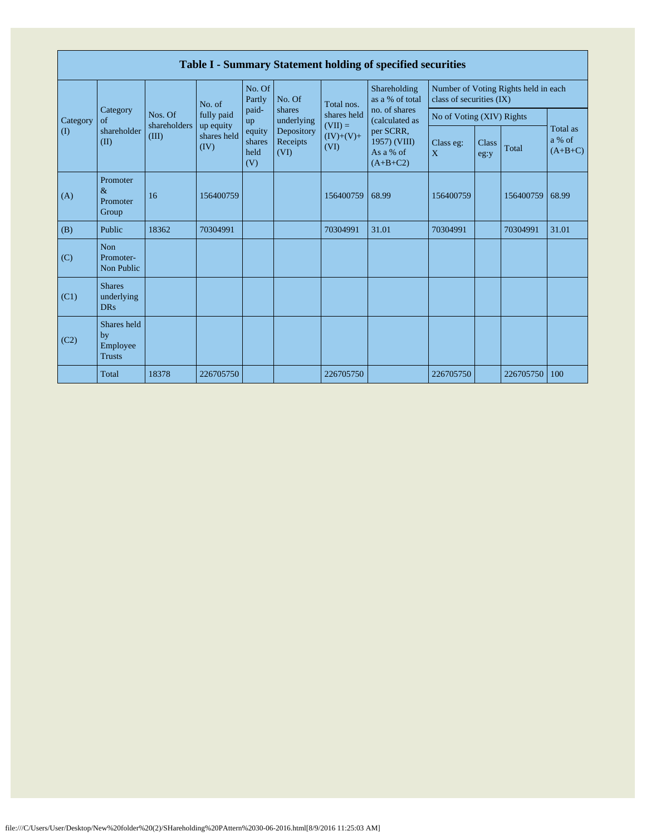|                       | Table I - Summary Statement holding of specified securities |                         |                                  |                                 |                                |                          |                                                                                                                            |                           |                      |                                      |                                 |  |  |
|-----------------------|-------------------------------------------------------------|-------------------------|----------------------------------|---------------------------------|--------------------------------|--------------------------|----------------------------------------------------------------------------------------------------------------------------|---------------------------|----------------------|--------------------------------------|---------------------------------|--|--|
|                       |                                                             | Nos. Of<br>shareholders | No. of                           | No. Of<br>Partly                | No. Of                         | Total nos.               | Shareholding<br>as a % of total<br>no. of shares<br>(calculated as<br>per SCRR,<br>1957) (VIII)<br>As a % of<br>$(A+B+C2)$ | class of securities (IX)  |                      | Number of Voting Rights held in each |                                 |  |  |
| Category              | Category<br>$\sigma$ f                                      |                         | fully paid                       | paid-<br>up                     | shares<br>underlying           | shares held<br>$(VII) =$ |                                                                                                                            | No of Voting (XIV) Rights |                      |                                      |                                 |  |  |
| $\mathcal{L}(\Gamma)$ | shareholder<br>(II)                                         | (III)                   | up equity<br>shares held<br>(IV) | equity<br>shares<br>held<br>(V) | Depository<br>Receipts<br>(VI) | $(IV)+(V)+$<br>(VI)      |                                                                                                                            | Class eg:<br>X            | <b>Class</b><br>eg:y | Total                                | Total as<br>a % of<br>$(A+B+C)$ |  |  |
| (A)                   | Promoter<br>$\&$<br>Promoter<br>Group                       | 16                      | 156400759                        |                                 |                                | 156400759                | 68.99                                                                                                                      | 156400759                 |                      | 156400759                            | 68.99                           |  |  |
| (B)                   | Public                                                      | 18362                   | 70304991                         |                                 |                                | 70304991                 | 31.01                                                                                                                      | 70304991                  |                      | 70304991                             | 31.01                           |  |  |
| (C)                   | Non<br>Promoter-<br>Non Public                              |                         |                                  |                                 |                                |                          |                                                                                                                            |                           |                      |                                      |                                 |  |  |
| (C1)                  | <b>Shares</b><br>underlying<br><b>DRs</b>                   |                         |                                  |                                 |                                |                          |                                                                                                                            |                           |                      |                                      |                                 |  |  |
| (C2)                  | Shares held<br>by<br>Employee<br><b>Trusts</b>              |                         |                                  |                                 |                                |                          |                                                                                                                            |                           |                      |                                      |                                 |  |  |
|                       | Total                                                       | 18378                   | 226705750                        |                                 |                                | 226705750                |                                                                                                                            | 226705750                 |                      | 226705750                            | 100                             |  |  |

Г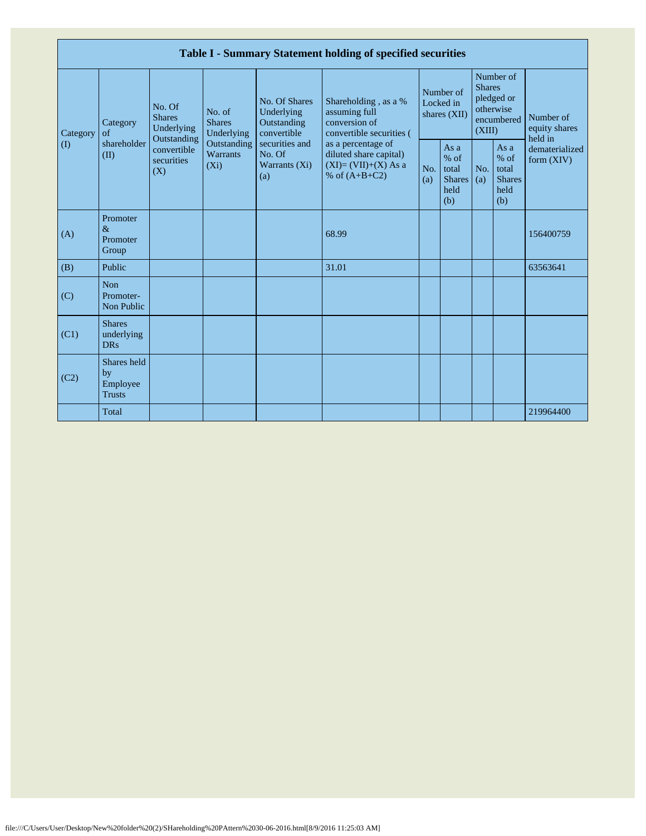|                         | Table I - Summary Statement holding of specified securities |                                                                                                     |                                       |                                                                                                               |                                                                                                                                                                                |                                        |                                                         |                                                                               |                                                       |                                       |  |  |
|-------------------------|-------------------------------------------------------------|-----------------------------------------------------------------------------------------------------|---------------------------------------|---------------------------------------------------------------------------------------------------------------|--------------------------------------------------------------------------------------------------------------------------------------------------------------------------------|----------------------------------------|---------------------------------------------------------|-------------------------------------------------------------------------------|-------------------------------------------------------|---------------------------------------|--|--|
| Category<br>$($ $($ $)$ | Category<br>of<br>shareholder<br>(II)                       | No. Of<br><b>Shares</b><br>Underlying<br>Outstanding<br>convertible<br>securities<br>$(X_i)$<br>(X) | No. of<br><b>Shares</b><br>Underlying | No. Of Shares<br>Underlying<br>Outstanding<br>convertible<br>securities and<br>No. Of<br>Warrants (Xi)<br>(a) | Shareholding, as a %<br>assuming full<br>conversion of<br>convertible securities (<br>as a percentage of<br>diluted share capital)<br>$(XI)=(VII)+(X) As a$<br>% of $(A+B+C2)$ | Number of<br>Locked in<br>shares (XII) |                                                         | Number of<br><b>Shares</b><br>pledged or<br>otherwise<br>encumbered<br>(XIII) |                                                       | Number of<br>equity shares<br>held in |  |  |
|                         |                                                             |                                                                                                     | Outstanding<br><b>Warrants</b>        |                                                                                                               |                                                                                                                                                                                | No.<br>(a)                             | As a<br>$%$ of<br>total<br><b>Shares</b><br>held<br>(b) | No.<br>(a)                                                                    | As a<br>% of<br>total<br><b>Shares</b><br>held<br>(b) | dematerialized<br>form $(XIV)$        |  |  |
| (A)                     | Promoter<br>$\&$<br>Promoter<br>Group                       |                                                                                                     |                                       |                                                                                                               | 68.99                                                                                                                                                                          |                                        |                                                         |                                                                               |                                                       | 156400759                             |  |  |
| (B)                     | Public                                                      |                                                                                                     |                                       |                                                                                                               | 31.01                                                                                                                                                                          |                                        |                                                         |                                                                               |                                                       | 63563641                              |  |  |
| (C)                     | <b>Non</b><br>Promoter-<br>Non Public                       |                                                                                                     |                                       |                                                                                                               |                                                                                                                                                                                |                                        |                                                         |                                                                               |                                                       |                                       |  |  |
| (C1)                    | <b>Shares</b><br>underlying<br><b>DRs</b>                   |                                                                                                     |                                       |                                                                                                               |                                                                                                                                                                                |                                        |                                                         |                                                                               |                                                       |                                       |  |  |
| (C2)                    | Shares held<br>by<br>Employee<br><b>Trusts</b>              |                                                                                                     |                                       |                                                                                                               |                                                                                                                                                                                |                                        |                                                         |                                                                               |                                                       |                                       |  |  |
|                         | Total                                                       |                                                                                                     |                                       |                                                                                                               |                                                                                                                                                                                |                                        |                                                         |                                                                               |                                                       | 219964400                             |  |  |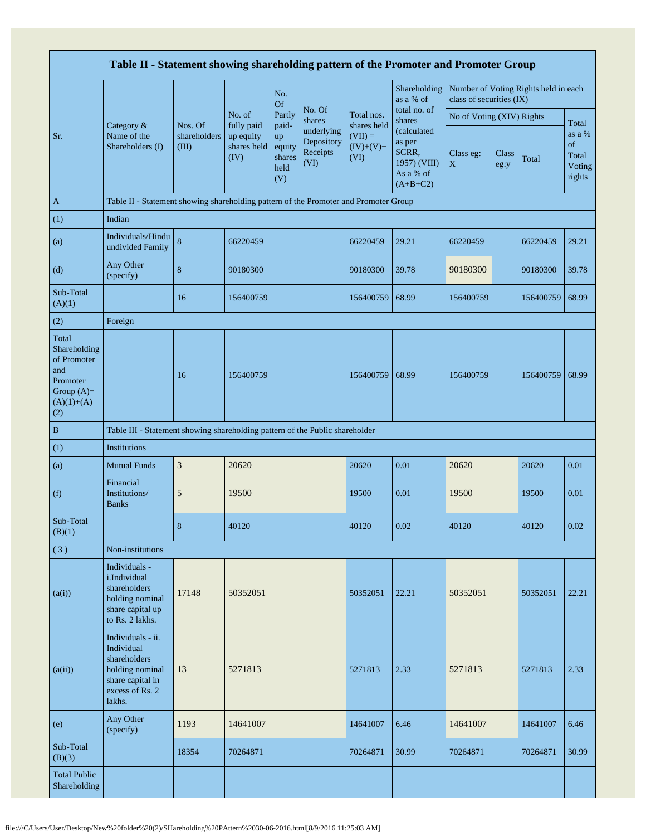|                                                                                                | Table II - Statement showing shareholding pattern of the Promoter and Promoter Group                                |                                  |                                                |                                                |                                                                  |                                                 |                                                                                                     |                           |                      |                                      |                                                    |  |  |
|------------------------------------------------------------------------------------------------|---------------------------------------------------------------------------------------------------------------------|----------------------------------|------------------------------------------------|------------------------------------------------|------------------------------------------------------------------|-------------------------------------------------|-----------------------------------------------------------------------------------------------------|---------------------------|----------------------|--------------------------------------|----------------------------------------------------|--|--|
|                                                                                                |                                                                                                                     |                                  |                                                | No.<br><b>Of</b>                               |                                                                  |                                                 | Shareholding<br>as a % of                                                                           | class of securities (IX)  |                      | Number of Voting Rights held in each |                                                    |  |  |
|                                                                                                | Category &<br>Name of the<br>Shareholders (I)                                                                       |                                  | No. of                                         | Partly                                         | No. Of<br>shares<br>underlying<br>Depository<br>Receipts<br>(VI) | Total nos.                                      | total no. of<br>shares<br>(calculated<br>as per<br>SCRR,<br>1957) (VIII)<br>As a % of<br>$(A+B+C2)$ | No of Voting (XIV) Rights |                      |                                      |                                                    |  |  |
| Sr.                                                                                            |                                                                                                                     | Nos. Of<br>shareholders<br>(III) | fully paid<br>up equity<br>shares held<br>(IV) | paid-<br>up<br>equity<br>shares<br>held<br>(V) |                                                                  | shares held<br>$(VII) =$<br>$(IV)+(V)+$<br>(VI) |                                                                                                     | Class eg:<br>$\mathbf X$  | <b>Class</b><br>eg:y | Total                                | Total<br>as a %<br>of<br>Total<br>Voting<br>rights |  |  |
| $\mathbf{A}$                                                                                   | Table II - Statement showing shareholding pattern of the Promoter and Promoter Group                                |                                  |                                                |                                                |                                                                  |                                                 |                                                                                                     |                           |                      |                                      |                                                    |  |  |
| (1)                                                                                            | Indian                                                                                                              |                                  |                                                |                                                |                                                                  |                                                 |                                                                                                     |                           |                      |                                      |                                                    |  |  |
| (a)                                                                                            | Individuals/Hindu<br>undivided Family                                                                               | $\,8\,$                          | 66220459                                       |                                                |                                                                  | 66220459                                        | 29.21                                                                                               | 66220459                  |                      | 66220459                             | 29.21                                              |  |  |
| (d)                                                                                            | Any Other<br>(specify)                                                                                              | $\bf 8$                          | 90180300                                       |                                                |                                                                  | 90180300                                        | 39.78                                                                                               | 90180300                  |                      | 90180300                             | 39.78                                              |  |  |
| Sub-Total<br>(A)(1)                                                                            |                                                                                                                     | 16                               | 156400759                                      |                                                |                                                                  | 156400759                                       | 68.99                                                                                               | 156400759                 |                      | 156400759                            | 68.99                                              |  |  |
| (2)                                                                                            | Foreign                                                                                                             |                                  |                                                |                                                |                                                                  |                                                 |                                                                                                     |                           |                      |                                      |                                                    |  |  |
| Total<br>Shareholding<br>of Promoter<br>and<br>Promoter<br>Group $(A)=$<br>$(A)(1)+(A)$<br>(2) |                                                                                                                     | 16                               | 156400759                                      |                                                |                                                                  | 156400759                                       | 68.99                                                                                               | 156400759                 |                      | 156400759                            | 68.99                                              |  |  |
| $\, {\bf B}$                                                                                   | Table III - Statement showing shareholding pattern of the Public shareholder                                        |                                  |                                                |                                                |                                                                  |                                                 |                                                                                                     |                           |                      |                                      |                                                    |  |  |
| (1)                                                                                            | <b>Institutions</b>                                                                                                 |                                  |                                                |                                                |                                                                  |                                                 |                                                                                                     |                           |                      |                                      |                                                    |  |  |
| (a)                                                                                            | <b>Mutual Funds</b>                                                                                                 | $\mathfrak{Z}$                   | 20620                                          |                                                |                                                                  | 20620                                           | 0.01                                                                                                | 20620                     |                      | 20620                                | 0.01                                               |  |  |
| (f)                                                                                            | Financial<br>Institutions/<br><b>Banks</b>                                                                          | 5                                | 19500                                          |                                                |                                                                  | 19500                                           | 0.01                                                                                                | 19500                     |                      | 19500                                | 0.01                                               |  |  |
| Sub-Total<br>(B)(1)                                                                            |                                                                                                                     | 8                                | 40120                                          |                                                |                                                                  | 40120                                           | 0.02                                                                                                | 40120                     |                      | 40120                                | 0.02                                               |  |  |
| (3)                                                                                            | Non-institutions                                                                                                    |                                  |                                                |                                                |                                                                  |                                                 |                                                                                                     |                           |                      |                                      |                                                    |  |  |
| (a(i))                                                                                         | Individuals -<br>i.Individual<br>shareholders<br>holding nominal<br>share capital up<br>to Rs. 2 lakhs.             | 17148                            | 50352051                                       |                                                |                                                                  | 50352051                                        | 22.21                                                                                               | 50352051                  |                      | 50352051                             | 22.21                                              |  |  |
| (a(ii))                                                                                        | Individuals - ii.<br>Individual<br>shareholders<br>holding nominal<br>share capital in<br>excess of Rs. 2<br>lakhs. | 13                               | 5271813                                        |                                                |                                                                  | 5271813                                         | 2.33                                                                                                | 5271813                   |                      | 5271813                              | 2.33                                               |  |  |
| (e)                                                                                            | Any Other<br>(specify)                                                                                              | 1193                             | 14641007                                       |                                                |                                                                  | 14641007                                        | 6.46                                                                                                | 14641007                  |                      | 14641007                             | 6.46                                               |  |  |
| Sub-Total<br>(B)(3)                                                                            |                                                                                                                     | 18354                            | 70264871                                       |                                                |                                                                  | 70264871                                        | 30.99                                                                                               | 70264871                  |                      | 70264871                             | 30.99                                              |  |  |
| <b>Total Public</b><br>Shareholding                                                            |                                                                                                                     |                                  |                                                |                                                |                                                                  |                                                 |                                                                                                     |                           |                      |                                      |                                                    |  |  |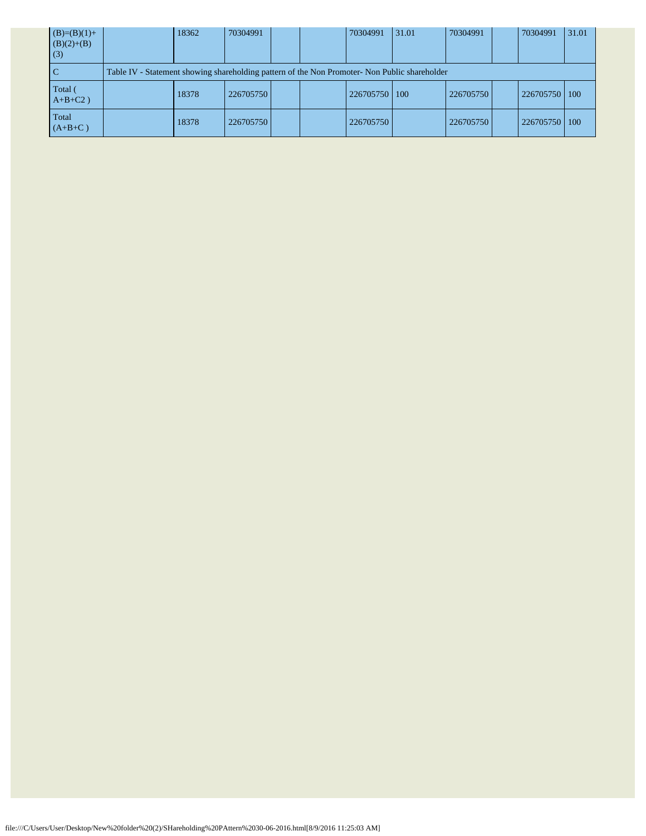| $(B)=(B)(1)+$<br>$(B)(2)+(B)$<br>(3) | 18362                                                                                         | 70304991  |  |  | 70304991  | 31.01 | 70304991  |  | 70304991  | 31.01 |  |
|--------------------------------------|-----------------------------------------------------------------------------------------------|-----------|--|--|-----------|-------|-----------|--|-----------|-------|--|
| <sub>c</sub>                         | Table IV - Statement showing shareholding pattern of the Non Promoter- Non Public shareholder |           |  |  |           |       |           |  |           |       |  |
| Total (<br>$A+B+C2$ )                | 18378                                                                                         | 226705750 |  |  | 226705750 | 100   | 226705750 |  | 226705750 | 100   |  |
| Total<br>$(A+B+C)$                   | 18378                                                                                         | 226705750 |  |  | 226705750 |       | 226705750 |  | 226705750 | 100   |  |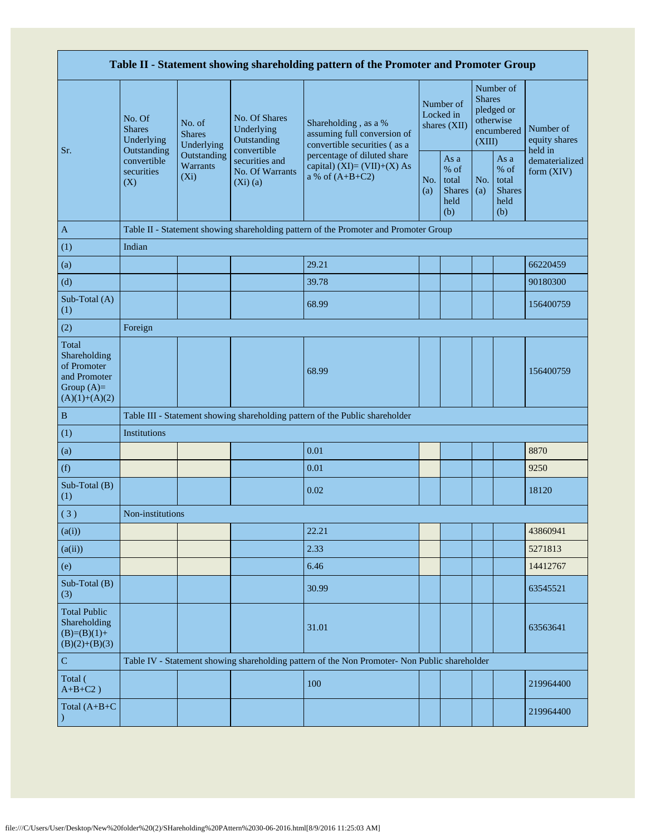| Table II - Statement showing shareholding pattern of the Promoter and Promoter Group    |                                                                                      |                                       |                                                             |                                                                                               |                                        |                                                         |                                                                               |                                                         |                                       |  |  |
|-----------------------------------------------------------------------------------------|--------------------------------------------------------------------------------------|---------------------------------------|-------------------------------------------------------------|-----------------------------------------------------------------------------------------------|----------------------------------------|---------------------------------------------------------|-------------------------------------------------------------------------------|---------------------------------------------------------|---------------------------------------|--|--|
| Sr.                                                                                     | No. Of<br><b>Shares</b><br>Underlying                                                | No. of<br><b>Shares</b><br>Underlying | No. Of Shares<br>Underlying<br>Outstanding                  | Shareholding, as a %<br>assuming full conversion of<br>convertible securities (as a           | Number of<br>Locked in<br>shares (XII) |                                                         | Number of<br><b>Shares</b><br>pledged or<br>otherwise<br>encumbered<br>(XIII) |                                                         | Number of<br>equity shares<br>held in |  |  |
|                                                                                         | Outstanding<br>convertible<br>securities<br>(X)                                      | Outstanding<br>Warrants<br>$(X_i)$    | convertible<br>securities and<br>No. Of Warrants<br>(Xi)(a) | percentage of diluted share<br>capital) $(XI)=(VII)+(X) As$<br>a % of $(A+B+C2)$              | No.<br>(a)                             | As a<br>$%$ of<br>total<br><b>Shares</b><br>held<br>(b) | No.<br>(a)                                                                    | As a<br>$%$ of<br>total<br><b>Shares</b><br>held<br>(b) | dematerialized<br>form $(XIV)$        |  |  |
| $\mathbf{A}$                                                                            | Table II - Statement showing shareholding pattern of the Promoter and Promoter Group |                                       |                                                             |                                                                                               |                                        |                                                         |                                                                               |                                                         |                                       |  |  |
| (1)                                                                                     | Indian                                                                               |                                       |                                                             |                                                                                               |                                        |                                                         |                                                                               |                                                         |                                       |  |  |
| (a)                                                                                     |                                                                                      |                                       |                                                             | 29.21                                                                                         |                                        |                                                         |                                                                               |                                                         | 66220459                              |  |  |
| (d)                                                                                     |                                                                                      |                                       |                                                             | 39.78                                                                                         |                                        |                                                         |                                                                               |                                                         | 90180300                              |  |  |
| Sub-Total (A)<br>(1)                                                                    |                                                                                      |                                       |                                                             | 68.99                                                                                         |                                        |                                                         |                                                                               |                                                         | 156400759                             |  |  |
| (2)                                                                                     | Foreign                                                                              |                                       |                                                             |                                                                                               |                                        |                                                         |                                                                               |                                                         |                                       |  |  |
| Total<br>Shareholding<br>of Promoter<br>and Promoter<br>Group $(A)=$<br>$(A)(1)+(A)(2)$ |                                                                                      |                                       |                                                             | 68.99                                                                                         |                                        |                                                         |                                                                               |                                                         | 156400759                             |  |  |
| $\, {\bf B}$                                                                            |                                                                                      |                                       |                                                             | Table III - Statement showing shareholding pattern of the Public shareholder                  |                                        |                                                         |                                                                               |                                                         |                                       |  |  |
| (1)                                                                                     | Institutions                                                                         |                                       |                                                             |                                                                                               |                                        |                                                         |                                                                               |                                                         |                                       |  |  |
| (a)                                                                                     |                                                                                      |                                       |                                                             | 0.01                                                                                          |                                        |                                                         |                                                                               |                                                         | 8870                                  |  |  |
| (f)                                                                                     |                                                                                      |                                       |                                                             | 0.01                                                                                          |                                        |                                                         |                                                                               |                                                         | 9250                                  |  |  |
| Sub-Total (B)<br>(1)                                                                    |                                                                                      |                                       |                                                             | 0.02                                                                                          |                                        |                                                         |                                                                               |                                                         | 18120                                 |  |  |
| (3)                                                                                     | Non-institutions                                                                     |                                       |                                                             |                                                                                               |                                        |                                                         |                                                                               |                                                         |                                       |  |  |
| (a(i))                                                                                  |                                                                                      |                                       |                                                             | 22.21                                                                                         |                                        |                                                         |                                                                               |                                                         | 43860941                              |  |  |
| (a(ii))                                                                                 |                                                                                      |                                       |                                                             | 2.33                                                                                          |                                        |                                                         |                                                                               |                                                         | 5271813                               |  |  |
| (e)                                                                                     |                                                                                      |                                       |                                                             | 6.46                                                                                          |                                        |                                                         |                                                                               |                                                         | 14412767                              |  |  |
| Sub-Total (B)<br>(3)                                                                    |                                                                                      |                                       |                                                             | 30.99                                                                                         |                                        |                                                         |                                                                               |                                                         | 63545521                              |  |  |
| <b>Total Public</b><br>Shareholding<br>$(B)=(B)(1)+$<br>$(B)(2)+(B)(3)$                 |                                                                                      |                                       |                                                             | 31.01                                                                                         |                                        |                                                         |                                                                               |                                                         | 63563641                              |  |  |
| $\mathbf C$                                                                             |                                                                                      |                                       |                                                             | Table IV - Statement showing shareholding pattern of the Non Promoter- Non Public shareholder |                                        |                                                         |                                                                               |                                                         |                                       |  |  |
| Total (<br>$A+B+C2$ )                                                                   |                                                                                      |                                       |                                                             | 100                                                                                           |                                        |                                                         |                                                                               |                                                         | 219964400                             |  |  |
| Total $(A+B+C)$                                                                         |                                                                                      |                                       |                                                             |                                                                                               |                                        |                                                         |                                                                               |                                                         | 219964400                             |  |  |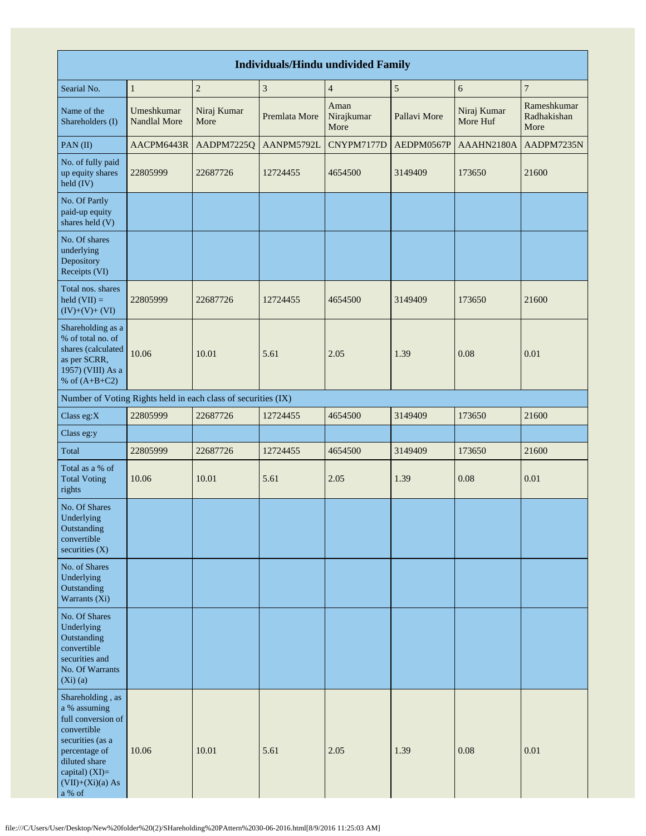| <b>Individuals/Hindu undivided Family</b>                                                                                                                                       |                                   |                                                               |               |                            |              |                         |                                    |  |  |  |  |
|---------------------------------------------------------------------------------------------------------------------------------------------------------------------------------|-----------------------------------|---------------------------------------------------------------|---------------|----------------------------|--------------|-------------------------|------------------------------------|--|--|--|--|
| Searial No.                                                                                                                                                                     | $\,1\,$                           | $\boldsymbol{2}$                                              | $\sqrt{3}$    | $\overline{4}$             | $\sqrt{5}$   | 6                       | $\overline{7}$                     |  |  |  |  |
| Name of the<br>Shareholders (I)                                                                                                                                                 | Umeshkumar<br><b>Nandlal More</b> | Niraj Kumar<br>More                                           | Premlata More | Aman<br>Nirajkumar<br>More | Pallavi More | Niraj Kumar<br>More Huf | Rameshkumar<br>Radhakishan<br>More |  |  |  |  |
| PAN(II)                                                                                                                                                                         | AACPM6443R                        | AADPM7225Q                                                    | AANPM5792L    | CNYPM7177D                 | AEDPM0567P   | AAAHN2180A              | AADPM7235N                         |  |  |  |  |
| No. of fully paid<br>up equity shares<br>held (IV)                                                                                                                              | 22805999                          | 22687726                                                      | 12724455      | 4654500                    | 3149409      | 173650                  | 21600                              |  |  |  |  |
| No. Of Partly<br>paid-up equity<br>shares held (V)                                                                                                                              |                                   |                                                               |               |                            |              |                         |                                    |  |  |  |  |
| No. Of shares<br>underlying<br>Depository<br>Receipts (VI)                                                                                                                      |                                   |                                                               |               |                            |              |                         |                                    |  |  |  |  |
| Total nos. shares<br>$\text{held (VII)} =$<br>$(IV)+(V)+(VI)$                                                                                                                   | 22805999                          | 22687726                                                      | 12724455      | 4654500                    | 3149409      | 173650                  | 21600                              |  |  |  |  |
| Shareholding as a<br>% of total no. of<br>shares (calculated<br>as per SCRR,<br>1957) (VIII) As a<br>% of $(A+B+C2)$                                                            | 10.06                             | 10.01                                                         | 5.61          | 2.05                       | 1.39         | 0.08                    | 0.01                               |  |  |  |  |
|                                                                                                                                                                                 |                                   | Number of Voting Rights held in each class of securities (IX) |               |                            |              |                         |                                    |  |  |  |  |
| Class eg:X                                                                                                                                                                      | 22805999                          | 22687726                                                      | 12724455      | 4654500                    | 3149409      | 173650                  | 21600                              |  |  |  |  |
| Class eg:y                                                                                                                                                                      |                                   |                                                               |               |                            |              |                         |                                    |  |  |  |  |
| Total                                                                                                                                                                           | 22805999                          | 22687726                                                      | 12724455      | 4654500                    | 3149409      | 173650                  | 21600                              |  |  |  |  |
| Total as a % of<br><b>Total Voting</b><br>rights                                                                                                                                | 10.06                             | 10.01                                                         | 5.61          | 2.05                       | 1.39         | 0.08                    | 0.01                               |  |  |  |  |
| No. Of Shares<br>Underlying<br>Outstanding<br>convertible<br>securities $(X)$                                                                                                   |                                   |                                                               |               |                            |              |                         |                                    |  |  |  |  |
| No. of Shares<br>Underlying<br>Outstanding<br>Warrants (Xi)                                                                                                                     |                                   |                                                               |               |                            |              |                         |                                    |  |  |  |  |
| No. Of Shares<br>Underlying<br>Outstanding<br>convertible<br>securities and<br>No. Of Warrants<br>$(Xi)$ $(a)$                                                                  |                                   |                                                               |               |                            |              |                         |                                    |  |  |  |  |
| Shareholding, as<br>a % assuming<br>full conversion of<br>convertible<br>securities (as a<br>percentage of<br>diluted share<br>capital) $(XI)=$<br>$(VII)+(Xi)(a) As$<br>a % of | 10.06                             | 10.01                                                         | 5.61          | 2.05                       | 1.39         | 0.08                    | 0.01                               |  |  |  |  |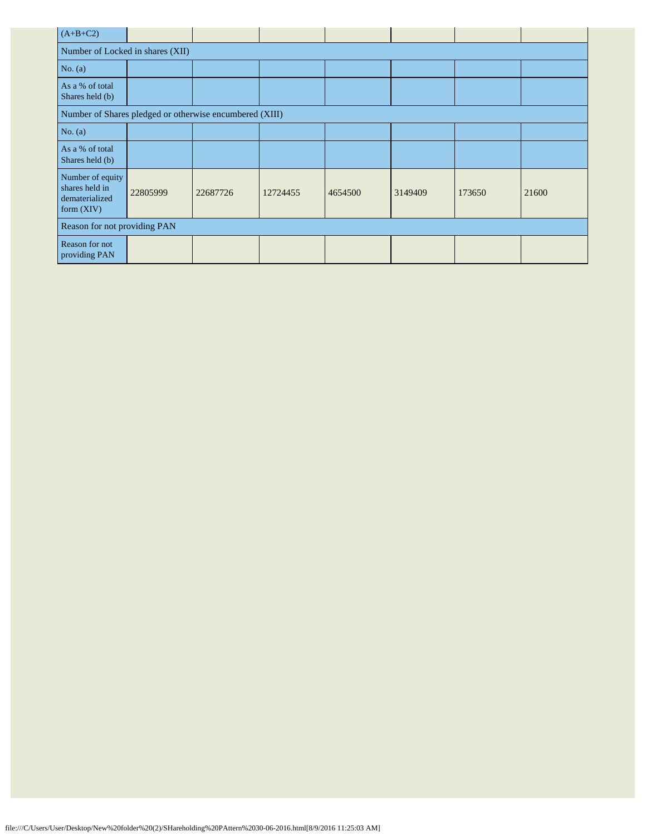| $(A+B+C2)$                                                           |                              |          |          |         |         |        |       |  |  |  |  |
|----------------------------------------------------------------------|------------------------------|----------|----------|---------|---------|--------|-------|--|--|--|--|
| Number of Locked in shares (XII)                                     |                              |          |          |         |         |        |       |  |  |  |  |
| No. $(a)$                                                            |                              |          |          |         |         |        |       |  |  |  |  |
| As a % of total<br>Shares held (b)                                   |                              |          |          |         |         |        |       |  |  |  |  |
| Number of Shares pledged or otherwise encumbered (XIII)              |                              |          |          |         |         |        |       |  |  |  |  |
| No. $(a)$                                                            |                              |          |          |         |         |        |       |  |  |  |  |
| As a % of total<br>Shares held (b)                                   |                              |          |          |         |         |        |       |  |  |  |  |
| Number of equity<br>shares held in<br>dematerialized<br>form $(XIV)$ | 22805999                     | 22687726 | 12724455 | 4654500 | 3149409 | 173650 | 21600 |  |  |  |  |
|                                                                      | Reason for not providing PAN |          |          |         |         |        |       |  |  |  |  |
| Reason for not<br>providing PAN                                      |                              |          |          |         |         |        |       |  |  |  |  |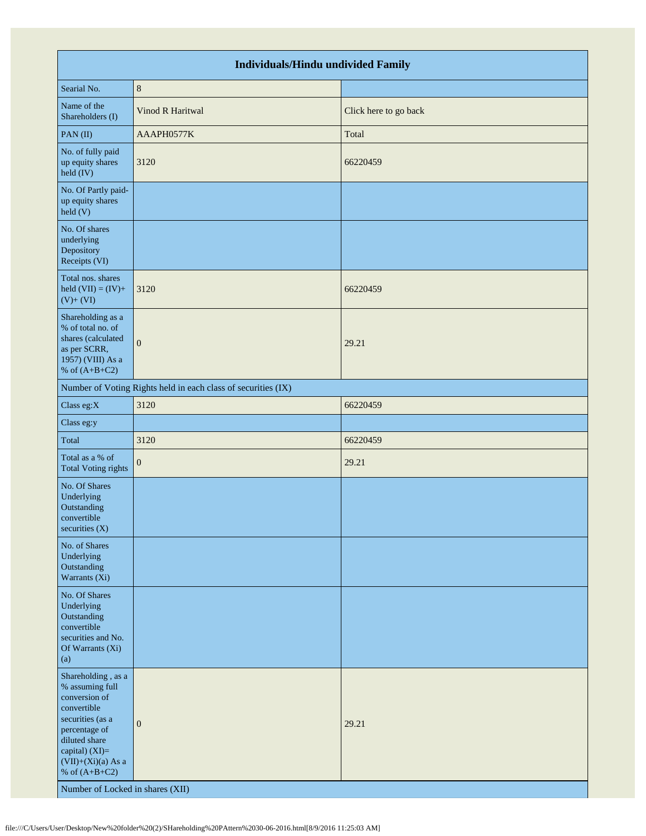|                                                                                                                                                                                                                              | <b>Individuals/Hindu undivided Family</b>                     |                       |
|------------------------------------------------------------------------------------------------------------------------------------------------------------------------------------------------------------------------------|---------------------------------------------------------------|-----------------------|
| Searial No.                                                                                                                                                                                                                  | $\,8\,$                                                       |                       |
| Name of the<br>Shareholders (I)                                                                                                                                                                                              | Vinod R Haritwal                                              | Click here to go back |
| PAN(II)                                                                                                                                                                                                                      | AAAPH0577K                                                    | Total                 |
| No. of fully paid<br>up equity shares<br>held (IV)                                                                                                                                                                           | 3120                                                          | 66220459              |
| No. Of Partly paid-<br>up equity shares<br>held (V)                                                                                                                                                                          |                                                               |                       |
| No. Of shares<br>underlying<br>Depository<br>Receipts (VI)                                                                                                                                                                   |                                                               |                       |
| Total nos. shares<br>held $(VII) = (IV) +$<br>$(V)+(VI)$                                                                                                                                                                     | 3120                                                          | 66220459              |
| Shareholding as a<br>% of total no. of<br>shares (calculated<br>as per SCRR,<br>1957) (VIII) As a<br>% of $(A+B+C2)$                                                                                                         | $\overline{0}$                                                | 29.21                 |
|                                                                                                                                                                                                                              | Number of Voting Rights held in each class of securities (IX) |                       |
| Class eg:X                                                                                                                                                                                                                   | 3120                                                          | 66220459              |
| Class eg:y                                                                                                                                                                                                                   |                                                               |                       |
| Total                                                                                                                                                                                                                        | 3120                                                          | 66220459              |
| Total as a % of<br><b>Total Voting rights</b>                                                                                                                                                                                | $\mathbf{0}$                                                  | 29.21                 |
| No. Of Shares<br>Underlying<br>Outstanding<br>convertible<br>securities $(X)$                                                                                                                                                |                                                               |                       |
| No. of Shares<br>Underlying<br>Outstanding<br>Warrants (Xi)                                                                                                                                                                  |                                                               |                       |
| No. Of Shares<br>Underlying<br>Outstanding<br>convertible<br>securities and No.<br>Of Warrants (Xi)<br>(a)                                                                                                                   |                                                               |                       |
| Shareholding, as a<br>% assuming full<br>conversion of<br>convertible<br>securities (as a<br>percentage of<br>diluted share<br>capital) (XI)=<br>$(VII)+(Xi)(a)$ As a<br>% of $(A+B+C2)$<br>Number of Locked in shares (XII) | $\mathbf{0}$                                                  | 29.21                 |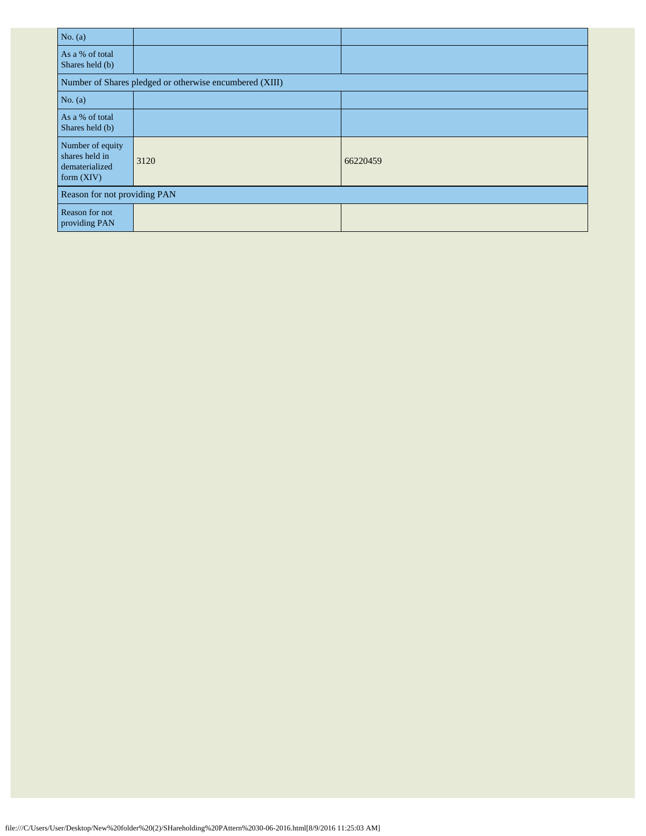| No. $(a)$                                                            |                                                         |          |  |  |  |  |  |  |  |
|----------------------------------------------------------------------|---------------------------------------------------------|----------|--|--|--|--|--|--|--|
| As a % of total<br>Shares held (b)                                   |                                                         |          |  |  |  |  |  |  |  |
|                                                                      | Number of Shares pledged or otherwise encumbered (XIII) |          |  |  |  |  |  |  |  |
| No. $(a)$                                                            |                                                         |          |  |  |  |  |  |  |  |
| As a % of total<br>Shares held (b)                                   |                                                         |          |  |  |  |  |  |  |  |
| Number of equity<br>shares held in<br>dematerialized<br>form $(XIV)$ | 3120                                                    | 66220459 |  |  |  |  |  |  |  |
|                                                                      | Reason for not providing PAN                            |          |  |  |  |  |  |  |  |
| Reason for not<br>providing PAN                                      |                                                         |          |  |  |  |  |  |  |  |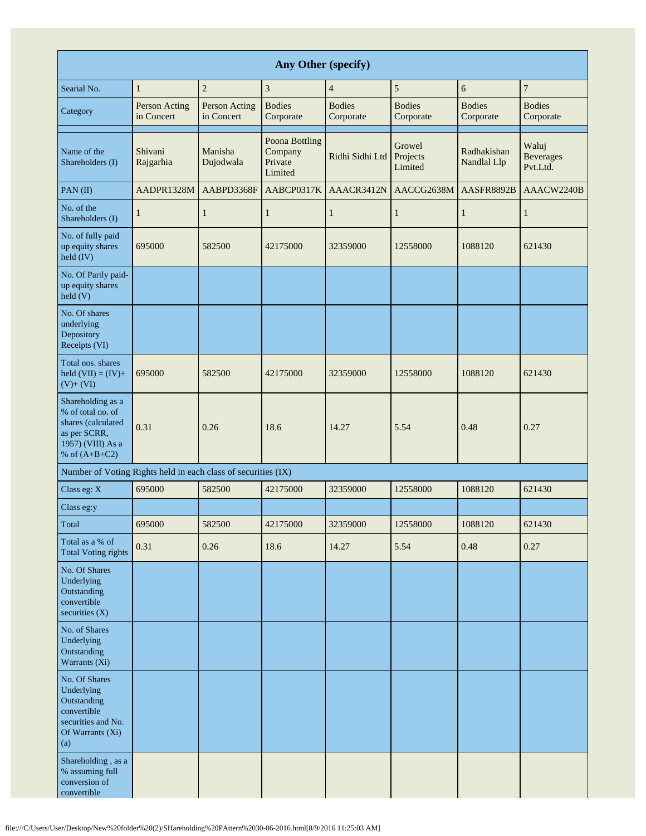| Any Other (specify)                                                                                                  |                             |                             |                                                 |                            |                               |                            |                                       |  |  |  |  |
|----------------------------------------------------------------------------------------------------------------------|-----------------------------|-----------------------------|-------------------------------------------------|----------------------------|-------------------------------|----------------------------|---------------------------------------|--|--|--|--|
| Searial No.                                                                                                          | $\mathbf{1}$                | $\sqrt{2}$                  | 3                                               | $\overline{4}$             | $\sqrt{5}$                    | 6                          | $\boldsymbol{7}$                      |  |  |  |  |
| Category                                                                                                             | Person Acting<br>in Concert | Person Acting<br>in Concert | <b>Bodies</b><br>Corporate                      | <b>Bodies</b><br>Corporate | <b>Bodies</b><br>Corporate    | <b>Bodies</b><br>Corporate | <b>Bodies</b><br>Corporate            |  |  |  |  |
| Name of the<br>Shareholders (I)                                                                                      | Shivani<br>Rajgarhia        | Manisha<br>Dujodwala        | Poona Bottling<br>Company<br>Private<br>Limited | Ridhi Sidhi Ltd            | Growel<br>Projects<br>Limited | Radhakishan<br>Nandlal Llp | Waluj<br><b>Beverages</b><br>Pvt.Ltd. |  |  |  |  |
| PAN(II)                                                                                                              | AADPR1328M                  | AABPD3368F                  | AABCP0317K                                      | AAACR3412N                 | AACCG2638M                    | AASFR8892B                 | AAACW2240B                            |  |  |  |  |
| No. of the<br>Shareholders (I)                                                                                       | $\mathbf{1}$                | 1                           | $\mathbf{1}$                                    | 1                          | $\mathbf{1}$                  | $\mathbf{1}$               | $\mathbf{1}$                          |  |  |  |  |
| No. of fully paid<br>up equity shares<br>held (IV)                                                                   | 695000                      | 582500                      | 42175000                                        | 32359000                   | 12558000                      | 1088120                    | 621430                                |  |  |  |  |
| No. Of Partly paid-<br>up equity shares<br>held (V)                                                                  |                             |                             |                                                 |                            |                               |                            |                                       |  |  |  |  |
| No. Of shares<br>underlying<br>Depository<br>Receipts (VI)                                                           |                             |                             |                                                 |                            |                               |                            |                                       |  |  |  |  |
| Total nos. shares<br>held $(VII) = (IV) +$<br>$(V)+(VI)$                                                             | 695000                      | 582500                      | 42175000                                        | 32359000                   | 12558000                      | 1088120                    | 621430                                |  |  |  |  |
| Shareholding as a<br>% of total no. of<br>shares (calculated<br>as per SCRR,<br>1957) (VIII) As a<br>% of $(A+B+C2)$ | 0.31                        | 0.26                        | 18.6                                            | 14.27                      | 5.54                          | 0.48                       | 0.27                                  |  |  |  |  |
| Number of Voting Rights held in each class of securities (IX)                                                        |                             |                             |                                                 |                            |                               |                            |                                       |  |  |  |  |
| Class eg: X                                                                                                          | 695000                      | 582500                      | 42175000                                        | 32359000                   | 12558000                      | 1088120                    | 621430                                |  |  |  |  |
| Class eg:y                                                                                                           |                             |                             |                                                 |                            |                               |                            |                                       |  |  |  |  |
| Total                                                                                                                | 695000                      | 582500                      | 42175000                                        | 32359000                   | 12558000                      | 1088120                    | 621430                                |  |  |  |  |
| Total as a % of<br><b>Total Voting rights</b>                                                                        | 0.31                        | 0.26                        | 18.6                                            | 14.27                      | 5.54                          | 0.48                       | 0.27                                  |  |  |  |  |
| No. Of Shares<br>Underlying<br>Outstanding<br>convertible<br>securities $(X)$                                        |                             |                             |                                                 |                            |                               |                            |                                       |  |  |  |  |
| No. of Shares<br>Underlying<br>Outstanding<br>Warrants (Xi)                                                          |                             |                             |                                                 |                            |                               |                            |                                       |  |  |  |  |
| No. Of Shares<br>Underlying<br>Outstanding<br>convertible<br>securities and No.<br>Of Warrants (Xi)<br>(a)           |                             |                             |                                                 |                            |                               |                            |                                       |  |  |  |  |
| Shareholding, as a<br>% assuming full<br>conversion of<br>convertible                                                |                             |                             |                                                 |                            |                               |                            |                                       |  |  |  |  |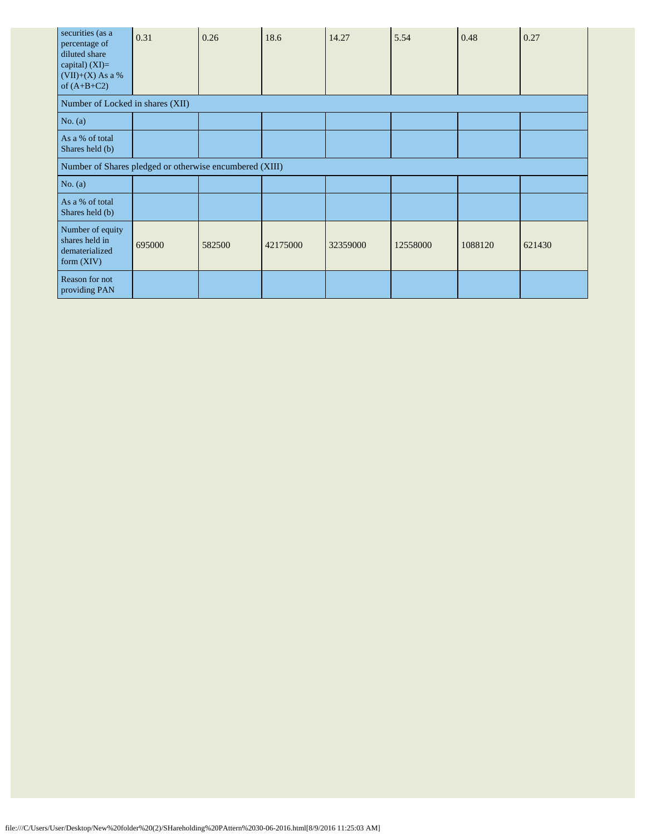| securities (as a<br>percentage of<br>diluted share<br>capital) $(XI)=$<br>$(VII)+(X)$ As a %<br>of $(A+B+C2)$ | 0.31   | 0.26   | 18.6     | 14.27    | 5.54     | 0.48    | 0.27   |
|---------------------------------------------------------------------------------------------------------------|--------|--------|----------|----------|----------|---------|--------|
| Number of Locked in shares (XII)                                                                              |        |        |          |          |          |         |        |
| No. (a)                                                                                                       |        |        |          |          |          |         |        |
| As a % of total<br>Shares held (b)                                                                            |        |        |          |          |          |         |        |
| Number of Shares pledged or otherwise encumbered (XIII)                                                       |        |        |          |          |          |         |        |
| No. $(a)$                                                                                                     |        |        |          |          |          |         |        |
| As a % of total<br>Shares held (b)                                                                            |        |        |          |          |          |         |        |
| Number of equity<br>shares held in<br>dematerialized<br>form $(XIV)$                                          | 695000 | 582500 | 42175000 | 32359000 | 12558000 | 1088120 | 621430 |
| Reason for not<br>providing PAN                                                                               |        |        |          |          |          |         |        |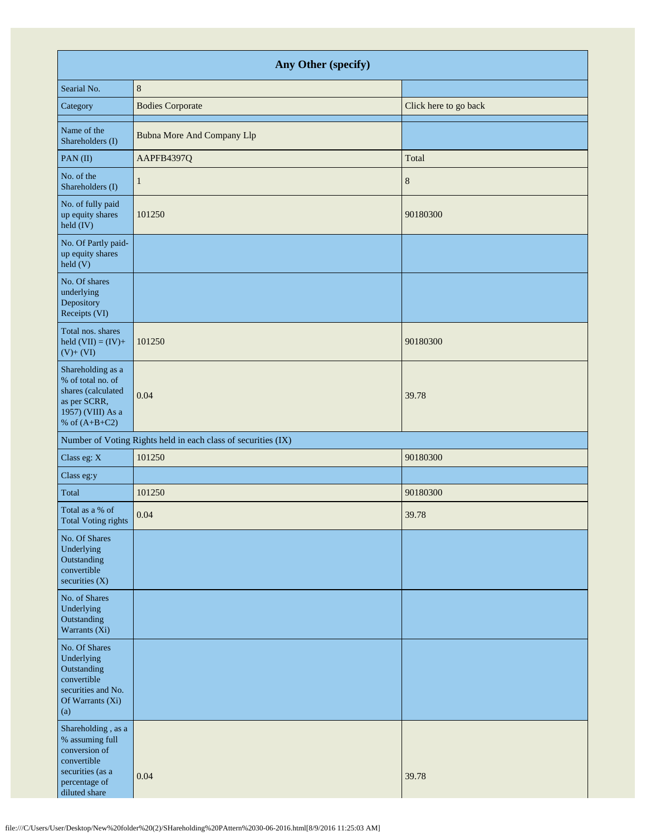| Any Other (specify)                                                                                                         |                                                               |                       |  |  |  |
|-----------------------------------------------------------------------------------------------------------------------------|---------------------------------------------------------------|-----------------------|--|--|--|
| Searial No.                                                                                                                 | $\,8\,$                                                       |                       |  |  |  |
| Category                                                                                                                    | <b>Bodies Corporate</b>                                       | Click here to go back |  |  |  |
| Name of the<br>Shareholders (I)                                                                                             | <b>Bubna More And Company Llp</b>                             |                       |  |  |  |
| PAN(II)                                                                                                                     | AAPFB4397Q                                                    | Total                 |  |  |  |
| No. of the<br>Shareholders (I)                                                                                              | 1                                                             | $8\phantom{1}$        |  |  |  |
| No. of fully paid<br>up equity shares<br>held (IV)                                                                          | 101250                                                        | 90180300              |  |  |  |
| No. Of Partly paid-<br>up equity shares<br>$\text{held}$ (V)                                                                |                                                               |                       |  |  |  |
| No. Of shares<br>underlying<br>Depository<br>Receipts (VI)                                                                  |                                                               |                       |  |  |  |
| Total nos. shares<br>held $(VII) = (IV) +$<br>$(V) + (VI)$                                                                  | 101250                                                        | 90180300              |  |  |  |
| Shareholding as a<br>% of total no. of<br>shares (calculated<br>as per SCRR,<br>1957) (VIII) As a<br>% of $(A+B+C2)$        | 0.04                                                          | 39.78                 |  |  |  |
|                                                                                                                             | Number of Voting Rights held in each class of securities (IX) |                       |  |  |  |
| Class eg: X                                                                                                                 | 101250                                                        | 90180300              |  |  |  |
| Class eg:y                                                                                                                  |                                                               |                       |  |  |  |
| Total                                                                                                                       | 101250                                                        | 90180300              |  |  |  |
| Total as a % of<br>Total Voting rights                                                                                      | 0.04                                                          | 39.78                 |  |  |  |
| No. Of Shares<br>Underlying<br>Outstanding<br>convertible<br>securities $(X)$                                               |                                                               |                       |  |  |  |
| No. of Shares<br>Underlying<br>Outstanding<br>Warrants (Xi)                                                                 |                                                               |                       |  |  |  |
| No. Of Shares<br>Underlying<br>Outstanding<br>convertible<br>securities and No.<br>Of Warrants (Xi)<br>(a)                  |                                                               |                       |  |  |  |
| Shareholding, as a<br>% assuming full<br>conversion of<br>convertible<br>securities (as a<br>percentage of<br>diluted share | 0.04                                                          | 39.78                 |  |  |  |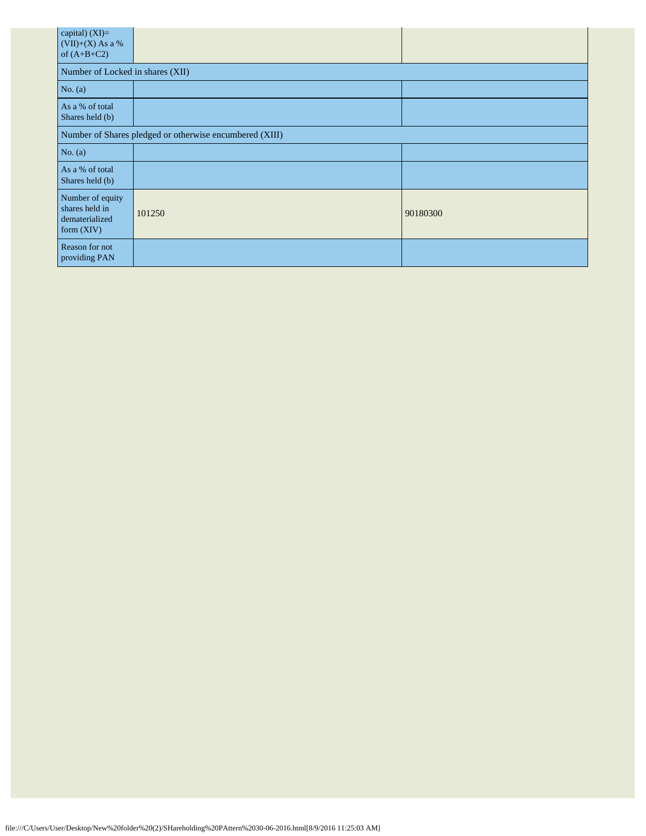| capital) (XI)=<br>$(VII)+(X)$ As a %<br>of $(A+B+C2)$                |        |          |  |  |  |
|----------------------------------------------------------------------|--------|----------|--|--|--|
| Number of Locked in shares (XII)                                     |        |          |  |  |  |
| No. $(a)$                                                            |        |          |  |  |  |
| As a % of total<br>Shares held (b)                                   |        |          |  |  |  |
| Number of Shares pledged or otherwise encumbered (XIII)              |        |          |  |  |  |
| No. (a)                                                              |        |          |  |  |  |
| As a % of total<br>Shares held (b)                                   |        |          |  |  |  |
| Number of equity<br>shares held in<br>dematerialized<br>form $(XIV)$ | 101250 | 90180300 |  |  |  |
| Reason for not<br>providing PAN                                      |        |          |  |  |  |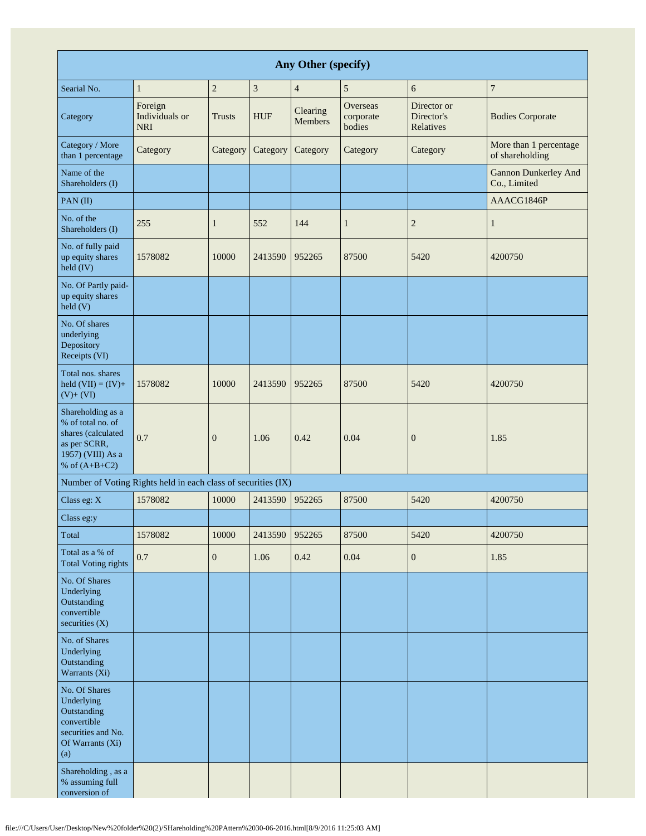| Any Other (specify)                                                                                                  |                                                               |                  |                |                            |                                 |                                        |                                             |
|----------------------------------------------------------------------------------------------------------------------|---------------------------------------------------------------|------------------|----------------|----------------------------|---------------------------------|----------------------------------------|---------------------------------------------|
| Searial No.                                                                                                          | $\mathbf{1}$                                                  | $\overline{c}$   | $\mathfrak{Z}$ | $\overline{4}$             | 5                               | 6                                      | $\boldsymbol{7}$                            |
| Category                                                                                                             | Foreign<br>Individuals or<br><b>NRI</b>                       | <b>Trusts</b>    | <b>HUF</b>     | Clearing<br><b>Members</b> | Overseas<br>corporate<br>bodies | Director or<br>Director's<br>Relatives | <b>Bodies Corporate</b>                     |
| Category / More<br>than 1 percentage                                                                                 | Category                                                      | Category         | Category       | Category                   | Category                        | Category                               | More than 1 percentage<br>of shareholding   |
| Name of the<br>Shareholders (I)                                                                                      |                                                               |                  |                |                            |                                 |                                        | <b>Gannon Dunkerley And</b><br>Co., Limited |
| PAN(II)                                                                                                              |                                                               |                  |                |                            |                                 |                                        | AAACG1846P                                  |
| No. of the<br>Shareholders (I)                                                                                       | 255                                                           | $\mathbf{1}$     | 552            | 144                        | $\mathbf{1}$                    | $\overline{\mathbf{c}}$                | $\mathbf{1}$                                |
| No. of fully paid<br>up equity shares<br>$\text{held (IV)}$                                                          | 1578082                                                       | 10000            | 2413590        | 952265                     | 87500                           | 5420                                   | 4200750                                     |
| No. Of Partly paid-<br>up equity shares<br>held(V)                                                                   |                                                               |                  |                |                            |                                 |                                        |                                             |
| No. Of shares<br>underlying<br>Depository<br>Receipts (VI)                                                           |                                                               |                  |                |                            |                                 |                                        |                                             |
| Total nos. shares<br>held $(VII) = (IV) +$<br>$(V)+(VI)$                                                             | 1578082                                                       | 10000            | 2413590        | 952265                     | 87500                           | 5420                                   | 4200750                                     |
| Shareholding as a<br>% of total no. of<br>shares (calculated<br>as per SCRR,<br>1957) (VIII) As a<br>% of $(A+B+C2)$ | 0.7                                                           | $\boldsymbol{0}$ | 1.06           | 0.42                       | 0.04                            | $\boldsymbol{0}$                       | 1.85                                        |
|                                                                                                                      | Number of Voting Rights held in each class of securities (IX) |                  |                |                            |                                 |                                        |                                             |
| Class eg: X                                                                                                          | 1578082                                                       | 10000            | 2413590        | 952265                     | 87500                           | 5420                                   | 4200750                                     |
| Class eg:y                                                                                                           |                                                               |                  |                |                            |                                 |                                        |                                             |
| Total                                                                                                                | 1578082                                                       | 10000            | 2413590        | 952265                     | 87500                           | 5420                                   | 4200750                                     |
| Total as a % of<br><b>Total Voting rights</b>                                                                        | 0.7                                                           | $\boldsymbol{0}$ | 1.06           | 0.42                       | 0.04                            | $\boldsymbol{0}$                       | 1.85                                        |
| No. Of Shares<br>Underlying<br>Outstanding<br>convertible<br>securities $(X)$                                        |                                                               |                  |                |                            |                                 |                                        |                                             |
| No. of Shares<br>Underlying<br>Outstanding<br>Warrants (Xi)                                                          |                                                               |                  |                |                            |                                 |                                        |                                             |
| No. Of Shares<br>Underlying<br>Outstanding<br>convertible<br>securities and No.<br>Of Warrants (Xi)<br>(a)           |                                                               |                  |                |                            |                                 |                                        |                                             |
| Shareholding, as a<br>% assuming full<br>conversion of                                                               |                                                               |                  |                |                            |                                 |                                        |                                             |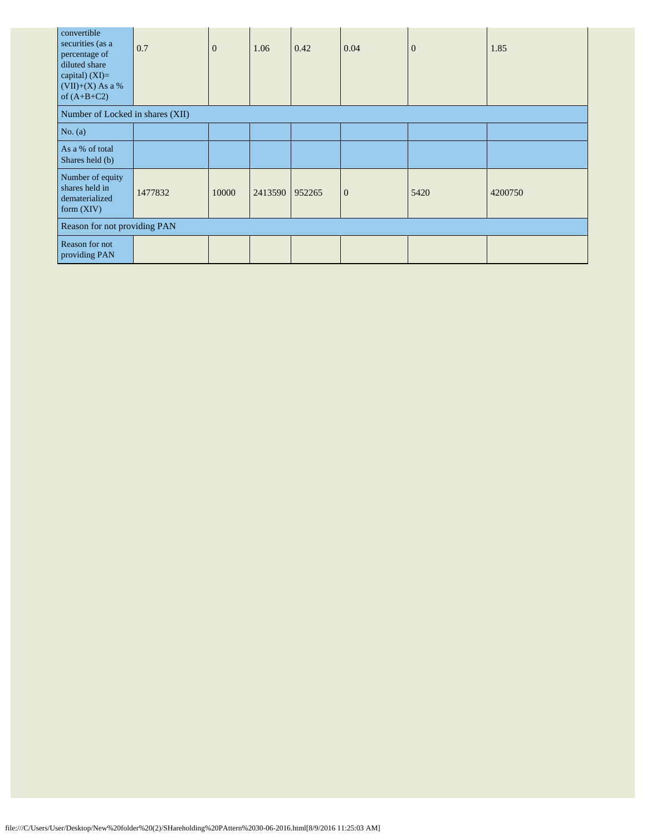| convertible<br>securities (as a<br>percentage of<br>diluted share<br>capital) $(XI)=$<br>$(VII)+(X)$ As a %<br>of $(A+B+C2)$ | 0.7     | $\theta$ | 1.06    | 0.42   | 0.04         | $\overline{0}$ | 1.85    |
|------------------------------------------------------------------------------------------------------------------------------|---------|----------|---------|--------|--------------|----------------|---------|
| Number of Locked in shares (XII)                                                                                             |         |          |         |        |              |                |         |
| No. $(a)$                                                                                                                    |         |          |         |        |              |                |         |
| As a % of total<br>Shares held (b)                                                                                           |         |          |         |        |              |                |         |
| Number of equity<br>shares held in<br>dematerialized<br>form $(XIV)$                                                         | 1477832 | 10000    | 2413590 | 952265 | $\mathbf{0}$ | 5420           | 4200750 |
| Reason for not providing PAN                                                                                                 |         |          |         |        |              |                |         |
| Reason for not<br>providing PAN                                                                                              |         |          |         |        |              |                |         |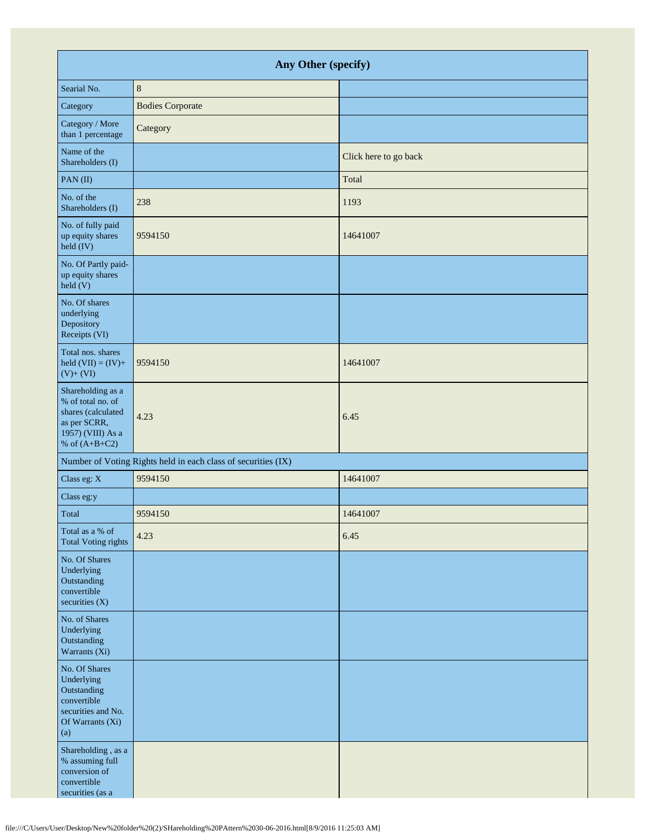| Any Other (specify)                                                                                                  |                                                               |                       |  |  |  |  |
|----------------------------------------------------------------------------------------------------------------------|---------------------------------------------------------------|-----------------------|--|--|--|--|
| Searial No.                                                                                                          | $8\phantom{1}$                                                |                       |  |  |  |  |
| Category                                                                                                             | <b>Bodies Corporate</b>                                       |                       |  |  |  |  |
| Category / More<br>than 1 percentage                                                                                 | Category                                                      |                       |  |  |  |  |
| Name of the<br>Shareholders (I)                                                                                      |                                                               | Click here to go back |  |  |  |  |
| PAN(II)                                                                                                              |                                                               | Total                 |  |  |  |  |
| No. of the<br>Shareholders (I)                                                                                       | 238                                                           | 1193                  |  |  |  |  |
| No. of fully paid<br>up equity shares<br>held (IV)                                                                   | 9594150                                                       | 14641007              |  |  |  |  |
| No. Of Partly paid-<br>up equity shares<br>$\text{held}$ (V)                                                         |                                                               |                       |  |  |  |  |
| No. Of shares<br>underlying<br>Depository<br>Receipts (VI)                                                           |                                                               |                       |  |  |  |  |
| Total nos. shares<br>held $(VII) = (IV) +$<br>$(V)+(VI)$                                                             | 9594150                                                       | 14641007              |  |  |  |  |
| Shareholding as a<br>% of total no. of<br>shares (calculated<br>as per SCRR,<br>1957) (VIII) As a<br>% of $(A+B+C2)$ | 4.23                                                          | 6.45                  |  |  |  |  |
|                                                                                                                      | Number of Voting Rights held in each class of securities (IX) |                       |  |  |  |  |
| Class eg: X                                                                                                          | 9594150                                                       | 14641007              |  |  |  |  |
| Class eg:y                                                                                                           |                                                               |                       |  |  |  |  |
| Total                                                                                                                | 9594150                                                       | 14641007              |  |  |  |  |
| Total as a % of<br><b>Total Voting rights</b>                                                                        | 4.23                                                          | 6.45                  |  |  |  |  |
| No. Of Shares<br>Underlying<br>Outstanding<br>convertible<br>securities $(X)$                                        |                                                               |                       |  |  |  |  |
| No. of Shares<br>Underlying<br>Outstanding<br>Warrants (Xi)                                                          |                                                               |                       |  |  |  |  |
| No. Of Shares<br>Underlying<br>Outstanding<br>convertible<br>securities and No.<br>Of Warrants (Xi)<br>(a)           |                                                               |                       |  |  |  |  |
| Shareholding, as a<br>$\%$ assuming full<br>conversion of<br>convertible<br>securities (as a                         |                                                               |                       |  |  |  |  |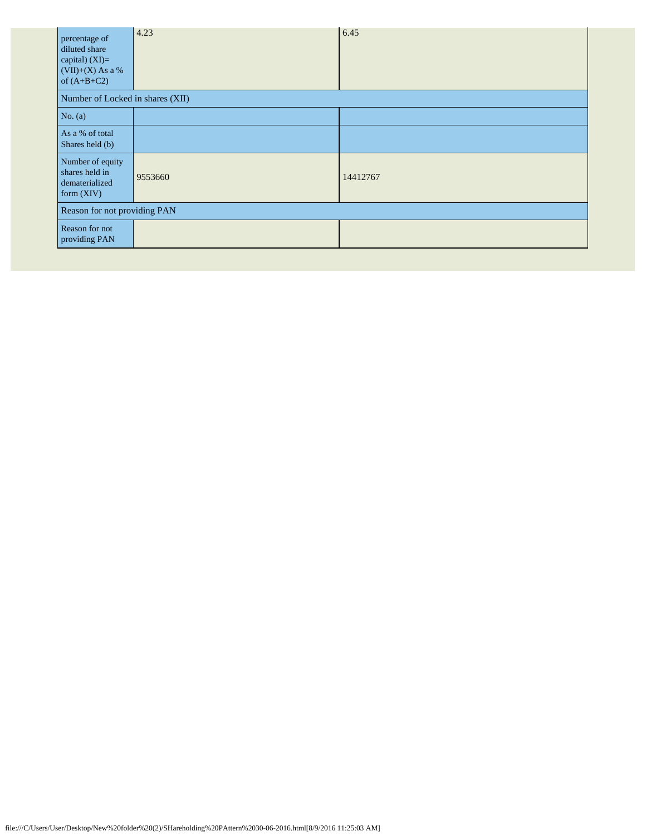| percentage of<br>diluted share<br>capital) (XI)=<br>$(VII)+(X)$ As a %<br>of $(A+B+C2)$ | 4.23    | 6.45     |  |  |  |  |
|-----------------------------------------------------------------------------------------|---------|----------|--|--|--|--|
| Number of Locked in shares (XII)                                                        |         |          |  |  |  |  |
| No. (a)                                                                                 |         |          |  |  |  |  |
| As a % of total<br>Shares held (b)                                                      |         |          |  |  |  |  |
| Number of equity<br>shares held in<br>dematerialized<br>form $(XIV)$                    | 9553660 | 14412767 |  |  |  |  |
| Reason for not providing PAN                                                            |         |          |  |  |  |  |
| Reason for not<br>providing PAN                                                         |         |          |  |  |  |  |